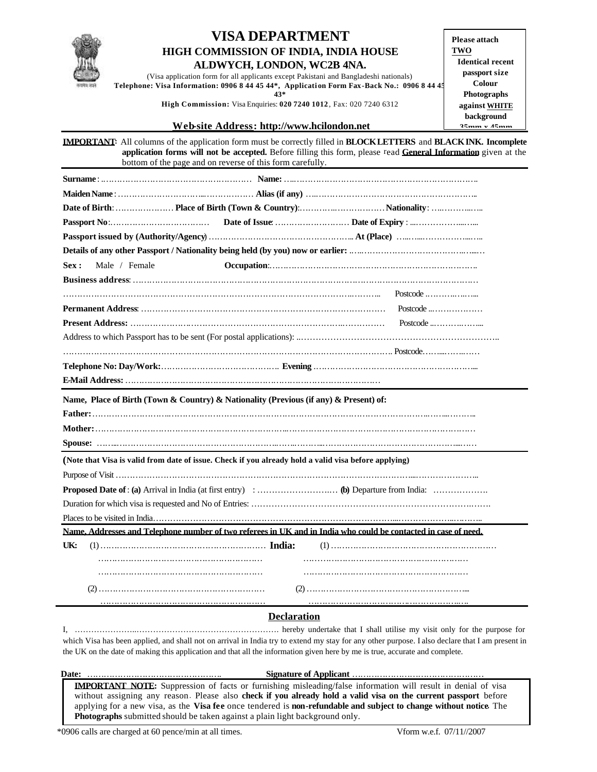

## **VISA DEPARTMENT HIGH COMMISSION OF INDIA, INDIA HOUSE ALDWYCH, LONDON, WC2B 4NA.**

(Visa application form for all applicants except Pakistani and Bangladeshi nationals) **Telephone: Visa Information: 0906 8 44 45 44\*, Applicati on Form Fax-Back No.: 0906 8 44 45 43\***

**High Commission:** Visa Enquiries: **020 7240 1012** , Fax: 020 7240 6312

**Please attach TWO Identical recent passport size Colour Photographs against WHITE background 35mm x 45mm**

#### **Web-site Address: http://www.hcilondon.net**

**IMPORTANT:** All columns of the application form must be correctly filled in **BLOCK LETTERS** and **BLACK INK. Incomplete application forms will not be accepted.** Before filling this form, please read **General Information** given at the bottom of the page and on reverse of this form carefully.

| Male / Female<br>Sex:                                                                                |                                                                                                                 |
|------------------------------------------------------------------------------------------------------|-----------------------------------------------------------------------------------------------------------------|
|                                                                                                      |                                                                                                                 |
|                                                                                                      |                                                                                                                 |
|                                                                                                      | Postcode $\dots\dots\dots\dots\dots\dots$                                                                       |
|                                                                                                      | Postcode $\dots\dots\dots\dots\dots\dots$                                                                       |
|                                                                                                      |                                                                                                                 |
|                                                                                                      |                                                                                                                 |
|                                                                                                      |                                                                                                                 |
|                                                                                                      |                                                                                                                 |
| Name, Place of Birth (Town & Country) & Nationality (Previous (if any) & Present) of:                |                                                                                                                 |
|                                                                                                      |                                                                                                                 |
|                                                                                                      |                                                                                                                 |
|                                                                                                      |                                                                                                                 |
|                                                                                                      |                                                                                                                 |
|                                                                                                      |                                                                                                                 |
| (Note that Visa is valid from date of issue. Check if you already hold a valid visa before applying) |                                                                                                                 |
|                                                                                                      |                                                                                                                 |
|                                                                                                      |                                                                                                                 |
|                                                                                                      |                                                                                                                 |
|                                                                                                      |                                                                                                                 |
|                                                                                                      | Name, Addresses and Telephone number of two referees in UK and in India who could be contacted in case of need. |
| UK:                                                                                                  |                                                                                                                 |
|                                                                                                      |                                                                                                                 |
|                                                                                                      |                                                                                                                 |
|                                                                                                      |                                                                                                                 |

### **Declaration**

I, …………………..……………………………………………. hereby undertake that I shall utilise my visit only for the purpose for which Visa has been applied, and shall not on arrival in India try to extend my stay for any other purpose. I also declare that I am present in the UK on the date of making this application and that all the information given here by me is true, accurate and complete.

 **Date:** …………………………………………. **Signature of Applicant** …………………………………………

**IMPORTANT NOTE:** Suppression of facts or furnishing misleading/false information will result in denial of visa without assigning any reason. Please also **check if you already hold a valid visa on the current passport** before applying for a new visa, as the **Visa fee** once tendered is **non-refundable and subject to change without notice.** The **Photographs** submitted should be taken against a plain light background only.

\*0906 calls are charged at 60 pence/min at all times. Vform w.e.f. 07/11//2007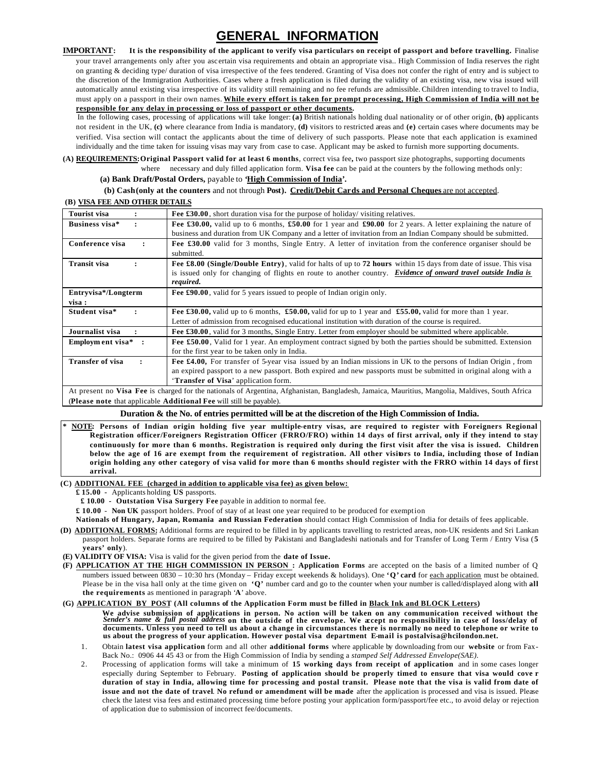# **GENERAL INFORMATION**

**IMPORTANT: It is the responsibility of the applicant to verify visa particulars on receipt of passport and before travelling.** Finalise your travel arrangements only after you ascertain visa requirements and obtain an appropriate visa.. High Commission of India reserves the right on granting & deciding type/ duration of visa irrespective of the fees tendered. Granting of Visa does not confer the right of entry and is subject to the discretion of the Immigration Authorities. Cases where a fresh application is filed during the validity of an existing visa, new visa issued will automatically annul existing visa irrespective of its validity still remaining and no fee refunds are admissible. Children intending to travel to India, must apply on a passport in their own names. **While every effort is taken for prompt processing, High Commission of India will not be responsible for any delay in processing or loss of passport or other documents.**

In the following cases, processing of applications will take longer: **(a)** British nationals holding dual nationality or of other origin, **(b)** applicants not resident in the UK, **(c)** where clearance from India is mandatory, **(d)** visitors to restricted areas and **(e)** certain cases where documents may be verified. Visa section will contact the applicants about the time of delivery of such passports. Please note that each application is examined individually and the time taken for issuing visas may vary from case to case. Applicant may be asked to furnish more supporting documents.

**(A) REQUIREMENTS:Original Passport valid for at least 6 months**, correct visa fee**,** two passport size photographs, supporting documents where necessary and duly filled application form. **Visa fee** can be paid at the counters by the following methods only:

 **(a) Bank Draft/Postal Orders,** payable to **'High Commission of India'.** 

#### **(b) Cash (only at the counters** and not through **Post). Credit/Debit Cards and Personal Cheques** are not accepted.  **(B) VISA FEE AND OTHER DETAILS**

| Tourist visa                            | <b>Fee £30.00</b> , short duration visa for the purpose of holiday/ visiting relatives.                                                        |
|-----------------------------------------|------------------------------------------------------------------------------------------------------------------------------------------------|
| Business visa*                          | Fee £30.00, valid up to 6 months, £50.00 for 1 year and £90.00 for 2 years. A letter explaining the nature of                                  |
|                                         | business and duration from UK Company and a letter of invitation from an Indian Company should be submitted.                                   |
| Conference visa<br>$\ddot{\phantom{a}}$ | Fee £30.00 valid for 3 months, Single Entry. A letter of invitation from the conference organiser should be                                    |
|                                         | submitted.                                                                                                                                     |
| <b>Transit visa</b>                     | Fee £8.00 (Single/Double Entry), valid for halts of up to 72 hours within 15 days from date of issue. This visa                                |
|                                         | is issued only for changing of flights en route to another country. Evidence of onward travel outside India is                                 |
|                                         | required.                                                                                                                                      |
| Entryvisa*/Longterm                     | Fee £90.00, valid for 5 years issued to people of Indian origin only.                                                                          |
| visa :                                  |                                                                                                                                                |
| Student visa*                           | Fee £30.00, valid up to 6 months, £50.00, valid for up to 1 year and £55.00, valid for more than 1 year.                                       |
|                                         | Letter of admission from recognised educational institution with duration of the course is required.                                           |
| Journalist visa                         | Fee £30.00, valid for 3 months, Single Entry. Letter from employer should be submitted where applicable.                                       |
| Employment visa $*$ :                   | Fee £50.00, Valid for 1 year. An employment contract signed by both the parties should be submitted. Extension                                 |
|                                         | for the first year to be taken only in India.                                                                                                  |
| <b>Transfer of visa</b>                 | Fee £4.00, For transfer of 5-year visa issued by an Indian missions in UK to the persons of Indian Origin, from                                |
|                                         | an expired passport to a new passport. Both expired and new passports must be submitted in original along with a                               |
|                                         | 'Transfer of Visa' application form.                                                                                                           |
|                                         | At present no Visa Fee is charged for the petionals of Argentine, Afghanisten, Bengledgeh, Jammie, Mauritius, Mangolia, Meldiuse, South Africa |

At present no **Visa Fee** is charged for the nationals of Argentina, Afghanistan, Bangladesh, Jamaica, Mauritius, Mangolia, Maldives, South Africa (**Please note** that applicable **Additional Fee** will still be payable).

#### **Duration & the No. of entries permitted will be at the discretion of the High Commission of India.**

**\* NOTE: Persons of Indian origin holding five year multiple-entry visas, are required to register with Foreigners Regional Registration officer/Foreigners Registration Officer (FRRO/FRO) within 14 days of first arrival, only if they intend to stay continuously for more than 6 months. Registration is required only during the first visit after the visa is issued. Children below the age of 16 are exempt from the requirement of registration. All other visitors to India, including those of Indian origin holding any other category of visa valid for more than 6 months should register with the FRRO within 14 days of first arrival.**

#### **(C) ADDITIONAL FEE (charged in addition to applicable visa fee) as given below:**

**£ 15.00 -** Applicants holding **US** passports.

 **£ 10.00 - Outstation Visa Surgery Fee** payable in addition to normal fee.

**£ 10.00** - **Non UK** passport holders. Proof of stay of at least one year required to be produced for exemption

**Nationals of Hungary, Japan, Romania and Russian Federation** should contact High Commission of India for details of fees applicable.

- **(D) ADDITIONAL FORMS:** Additional forms are required to be filled in by applicants travelling to restricted areas, non-UK residents and Sri Lankan passport holders. Separate forms are required to be filled by Pakistani and Bangladeshi nationals and for Transfer of Long Term / Entry Visa (**5 years' only**).
- **(E) VALIDITY OF VISA:** Visa is valid for the given period from the **date of Issue.**
- **(F) APPLICATION AT THE HIGH COMMISSION IN PERSON : Application Forms** are accepted on the basis of a limited number of Q numbers issued between 0830 – 10:30 hrs (Monday – Friday except weekends & holidays). One **'Q' card** for each application must be obtained. Please be in the visa hall only at the time given on **'Q'** number card and go to the counter when your number is called/displayed along with **all the requirements** as mentioned in paragraph '**A**' above.

#### **(G) APPLICATION BY POST (All columns of the Application Form must be filled in Black Ink and BLOCK Letters)**

We advise submission of applications in person. No action will be taken on any communication received without the<br>Sender's name & full postal address on the outside of the envelope. We acept no responsibility in case of lo **documents. Unless you need to tell us about a change in circumstances there is normally no need to telephone or write to us about the progress of your application. However postal visa department E-mail is postalvisa@hcilondon.net.**

- 1. Obtain **latest visa application** form and all other **additional forms** where applicable by downloading from our **website** or from Fax-Back No.: 0906 44 45 43 or from the High Commission of India by sending a *stamped Self Addressed Envelope(SAE).*
- 2. Processing of application forms will take a minimum of **15 working days from receipt of application** and in some cases longer especially during September to February. **Posting of application should be properly timed to ensure that visa would cove r duration of stay in India, allowing time for processing and postal transit. Please note that the visa is valid from date of issue and not the date of travel**. **No refund or amendment will be made** after the application is processed and visa is issued. Please check the latest visa fees and estimated processing time before posting your application form/passport/fee etc., to avoid delay or rejection of application due to submission of incorrect fee/documents.